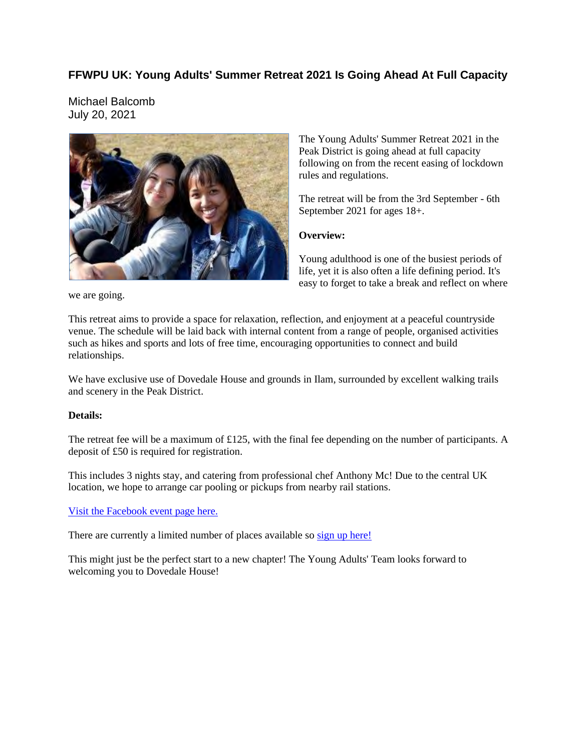## **FFWPU UK: Young Adults' Summer Retreat 2021 Is Going Ahead At Full Capacity**

Michael Balcomb July 20, 2021



The Young Adults' Summer Retreat 2021 in the Peak District is going ahead at full capacity following on from the recent easing of lockdown rules and regulations.

The retreat will be from the 3rd September - 6th September 2021 for ages 18+.

### **Overview:**

Young adulthood is one of the busiest periods of life, yet it is also often a life defining period. It's easy to forget to take a break and reflect on where

we are going.

This retreat aims to provide a space for relaxation, reflection, and enjoyment at a peaceful countryside venue. The schedule will be laid back with internal content from a range of people, organised activities such as hikes and sports and lots of free time, encouraging opportunities to connect and build relationships.

We have exclusive use of Dovedale House and grounds in Ilam, surrounded by excellent walking trails and scenery in the Peak District.

#### **Details:**

The retreat fee will be a maximum of £125, with the final fee depending on the number of participants. A deposit of £50 is required for registration.

This includes 3 nights stay, and catering from professional chef Anthony Mc! Due to the central UK location, we hope to arrange car pooling or pickups from nearby rail stations.

#### Visit the Facebook event page here.

There are currently a limited number of places available so sign up here!

This might just be the perfect start to a new chapter! The Young Adults' Team looks forward to welcoming you to Dovedale House!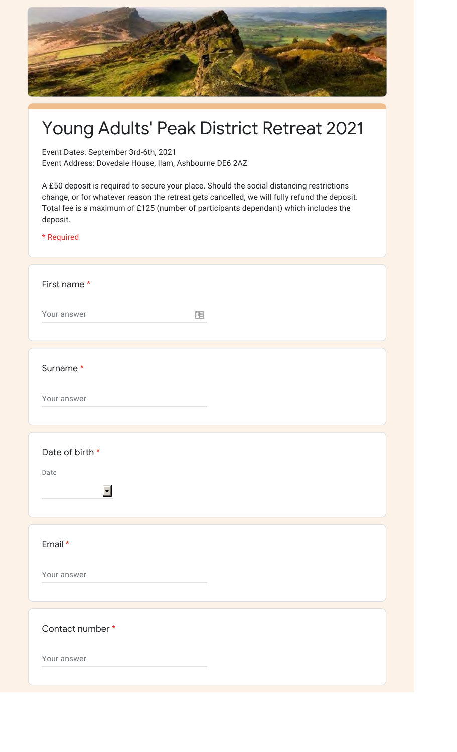

# Young Adults' Peak District Retreat 2021

Event Dates: September 3rd-6th, 2021

Event Address: Dovedale House, Ilam, Ashbourne DE6 2AZ

A £50 deposit is required to secure your place. Should the social distancing restrictions change, or for whatever reason the retreat gets cancelled, we will fully refund the deposit. Total fee is a maximum of £125 (number of participants dependant) which includes the deposit.

\* Required

| First name*          |  |
|----------------------|--|
| Your answer<br>田     |  |
|                      |  |
| Surname*             |  |
| Your answer          |  |
|                      |  |
| Date of birth *      |  |
| Date                 |  |
| $\blacktriangledown$ |  |
| Email *              |  |
|                      |  |
| Your answer          |  |
|                      |  |
| Contact number *     |  |
| Your answer          |  |
|                      |  |